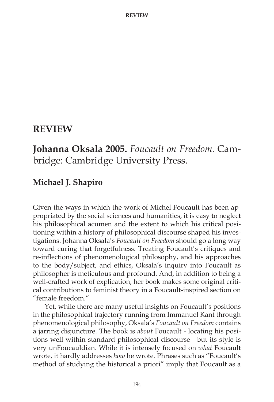## **REVIEW**

## **Johanna Oksala 2005.** *Foucault on Freedom.* Cambridge: Cambridge University Press.

## **Michael J. Shapiro**

Given the ways in which the work of Michel Foucault has been appropriated by the social sciences and humanities, it is easy to neglect his philosophical acumen and the extent to which his critical positioning within a history of philosophical discourse shaped his investigations. Johanna Oksala's *Foucault on Freedom* should go a long way toward curing that forgetfulness. Treating Foucault's critiques and re-inflections of phenomenological philosophy, and his approaches to the body/subject, and ethics, Oksala's inquiry into Foucault as philosopher is meticulous and profound. And, in addition to being a well-crafted work of explication, her book makes some original critical contributions to feminist theory in a Foucault-inspired section on "female freedom."

Yet, while there are many useful insights on Foucault's positions in the philosophical trajectory running from Immanuel Kant through phenomenological philosophy, Oksala's *Foucault on Freedom* contains a jarring disjuncture. The book is *about* Foucault - locating his positions well within standard philosophical discourse - but its style is very unFoucauldian. While it is intensely focused on *what* Foucault wrote, it hardly addresses *how* he wrote. Phrases such as "Foucault's method of studying the historical a priori" imply that Foucault as a